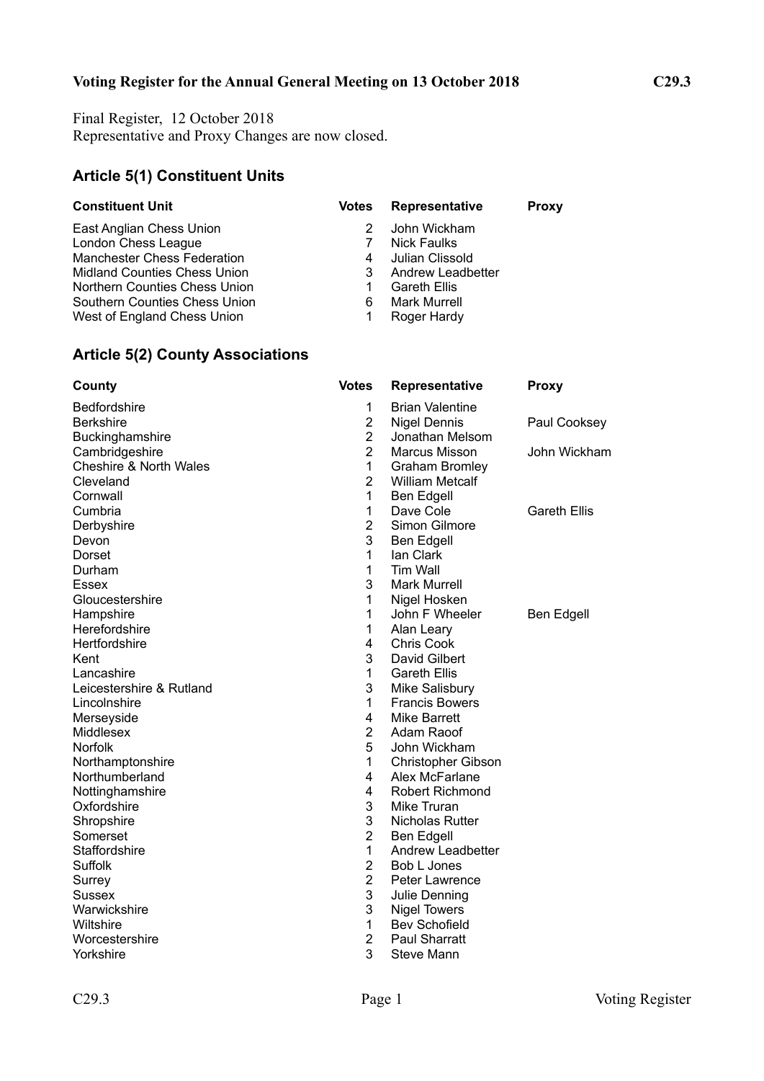# **Voting Register for the Annual General Meeting on 13 October 2018 C29.3**

Final Register, 12 October 2018 Representative and Proxy Changes are now closed.

### **Article 5(1) Constituent Units**

| <b>Constituent Unit</b>            | <b>Votes</b> | Representative      | <b>Proxy</b> |
|------------------------------------|--------------|---------------------|--------------|
| East Anglian Chess Union           |              | John Wickham        |              |
| London Chess League                |              | Nick Faulks         |              |
| <b>Manchester Chess Federation</b> | 4            | Julian Clissold     |              |
| Midland Counties Chess Union       | 3            | Andrew Leadbetter   |              |
| Northern Counties Chess Union      |              | <b>Gareth Ellis</b> |              |
| Southern Counties Chess Union      | 6            | <b>Mark Murrell</b> |              |
| West of England Chess Union        |              | Roger Hardy         |              |

# **Article 5(2) County Associations**

| County                            | <b>Votes</b>   | Representative            | <b>Proxy</b>        |
|-----------------------------------|----------------|---------------------------|---------------------|
| <b>Bedfordshire</b>               | 1              | <b>Brian Valentine</b>    |                     |
| <b>Berkshire</b>                  | $\overline{2}$ | <b>Nigel Dennis</b>       | Paul Cooksey        |
| Buckinghamshire                   | $\overline{2}$ | Jonathan Melsom           |                     |
| Cambridgeshire                    | $\overline{2}$ | <b>Marcus Misson</b>      | John Wickham        |
| <b>Cheshire &amp; North Wales</b> | 1              | <b>Graham Bromley</b>     |                     |
| Cleveland                         | $\overline{2}$ | <b>William Metcalf</b>    |                     |
| Cornwall                          | 1              | Ben Edgell                |                     |
| Cumbria                           | 1              | Dave Cole                 | <b>Gareth Ellis</b> |
| Derbyshire                        | $\overline{2}$ | Simon Gilmore             |                     |
| Devon                             | 3              | <b>Ben Edgell</b>         |                     |
| Dorset                            | 1              | lan Clark                 |                     |
| Durham                            | 1              | Tim Wall                  |                     |
| Essex                             | 3              | <b>Mark Murrell</b>       |                     |
| Gloucestershire                   | 1              | Nigel Hosken              |                     |
| Hampshire                         | 1              | John F Wheeler            | Ben Edgell          |
| Herefordshire                     | 1              | Alan Leary                |                     |
| Hertfordshire                     | $\overline{4}$ | <b>Chris Cook</b>         |                     |
| Kent                              | 3              | David Gilbert             |                     |
| Lancashire                        | $\mathbf{1}$   | <b>Gareth Ellis</b>       |                     |
| Leicestershire & Rutland          | 3              | Mike Salisbury            |                     |
| Lincolnshire                      | 1              | <b>Francis Bowers</b>     |                     |
| Merseyside                        | 4              | <b>Mike Barrett</b>       |                     |
| Middlesex                         | $\overline{2}$ | Adam Raoof                |                     |
| <b>Norfolk</b>                    | 5              | John Wickham              |                     |
| Northamptonshire                  | 1              | <b>Christopher Gibson</b> |                     |
| Northumberland                    | 4              | Alex McFarlane            |                     |
| Nottinghamshire                   | 4              | <b>Robert Richmond</b>    |                     |
| Oxfordshire                       | 3              | Mike Truran               |                     |
| Shropshire                        | 3              | Nicholas Rutter           |                     |
| Somerset                          | $\overline{2}$ | Ben Edgell                |                     |
| Staffordshire                     | 1              | <b>Andrew Leadbetter</b>  |                     |
| Suffolk                           | $\overline{2}$ | Bob L Jones               |                     |
| Surrey                            | $\overline{2}$ | <b>Peter Lawrence</b>     |                     |
| <b>Sussex</b>                     | $\mathsf 3$    | Julie Denning             |                     |
| Warwickshire                      | 3              | <b>Nigel Towers</b>       |                     |
| Wiltshire                         | 1              | <b>Bev Schofield</b>      |                     |
| Worcestershire                    | $\overline{2}$ | <b>Paul Sharratt</b>      |                     |
| Yorkshire                         | 3              | Steve Mann                |                     |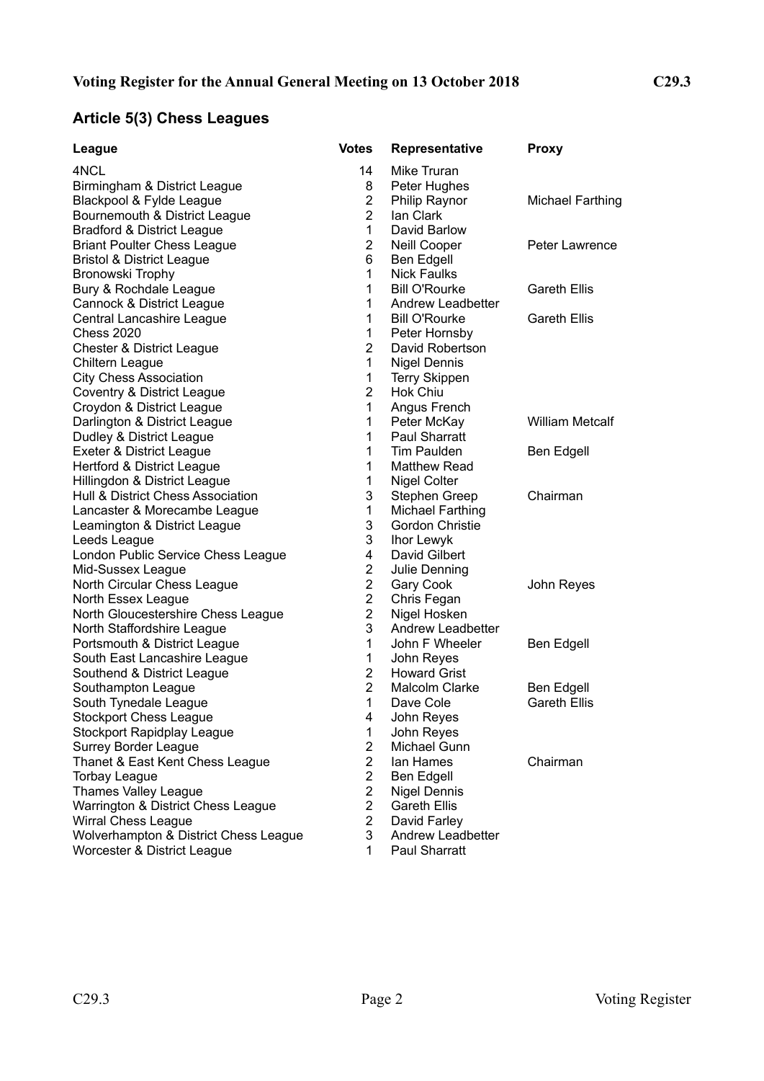# **Article 5(3) Chess Leagues**

| League                                | <b>Votes</b>   | <b>Representative</b>   | <b>Proxy</b>            |
|---------------------------------------|----------------|-------------------------|-------------------------|
| 4NCL                                  | 14             | Mike Truran             |                         |
| Birmingham & District League          | 8              | Peter Hughes            |                         |
| Blackpool & Fylde League              | $\overline{2}$ | Philip Raynor           | <b>Michael Farthing</b> |
| Bournemouth & District League         | $\overline{2}$ | lan Clark               |                         |
| <b>Bradford &amp; District League</b> | $\mathbf{1}$   | David Barlow            |                         |
| <b>Briant Poulter Chess League</b>    | $\overline{2}$ | Neill Cooper            | <b>Peter Lawrence</b>   |
| <b>Bristol &amp; District League</b>  | 6              | Ben Edgell              |                         |
| Bronowski Trophy                      | $\mathbf{1}$   | <b>Nick Faulks</b>      |                         |
| Bury & Rochdale League                | 1              | <b>Bill O'Rourke</b>    | <b>Gareth Ellis</b>     |
| Cannock & District League             | $\mathbf{1}$   | Andrew Leadbetter       |                         |
| Central Lancashire League             | 1              | <b>Bill O'Rourke</b>    | <b>Gareth Ellis</b>     |
| <b>Chess 2020</b>                     | $\mathbf{1}$   | Peter Hornsby           |                         |
| <b>Chester &amp; District League</b>  | $\overline{2}$ | David Robertson         |                         |
| Chiltern League                       | $\mathbf{1}$   | <b>Nigel Dennis</b>     |                         |
| <b>City Chess Association</b>         | $\mathbf{1}$   | <b>Terry Skippen</b>    |                         |
| Coventry & District League            | $\overline{2}$ | <b>Hok Chiu</b>         |                         |
| Croydon & District League             | $\mathbf{1}$   | Angus French            |                         |
| Darlington & District League          | $\mathbf{1}$   | Peter McKay             | <b>William Metcalf</b>  |
| Dudley & District League              | $\mathbf{1}$   | Paul Sharratt           |                         |
| Exeter & District League              | 1              | Tim Paulden             | <b>Ben Edgell</b>       |
| Hertford & District League            | 1              | <b>Matthew Read</b>     |                         |
| Hillingdon & District League          | 1              | Nigel Colter            |                         |
| Hull & District Chess Association     | 3              | Stephen Greep           | Chairman                |
| Lancaster & Morecambe League          | $\mathbf{1}$   | <b>Michael Farthing</b> |                         |
| Leamington & District League          | 3              | <b>Gordon Christie</b>  |                         |
| Leeds League                          | 3              | Ihor Lewyk              |                         |
| London Public Service Chess League    | 4              | David Gilbert           |                         |
| Mid-Sussex League                     | $\overline{2}$ | Julie Denning           |                         |
| North Circular Chess League           | $\overline{2}$ | Gary Cook               | John Reyes              |
| North Essex League                    | $\overline{2}$ | Chris Fegan             |                         |
| North Gloucestershire Chess League    | $\overline{2}$ | Nigel Hosken            |                         |
| North Staffordshire League            | 3              | Andrew Leadbetter       |                         |
| Portsmouth & District League          | 1              | John F Wheeler          | <b>Ben Edgell</b>       |
| South East Lancashire League          | 1              | John Reyes              |                         |
| Southend & District League            | $\overline{2}$ | <b>Howard Grist</b>     |                         |
| Southampton League                    | $\overline{2}$ | <b>Malcolm Clarke</b>   | <b>Ben Edgell</b>       |
| South Tynedale League                 | 1              | Dave Cole               | <b>Gareth Ellis</b>     |
| Stockport Chess League                | 4              | John Reyes              |                         |
| <b>Stockport Rapidplay League</b>     | 1              | John Reyes              |                         |
| <b>Surrey Border League</b>           | $\overline{2}$ | Michael Gunn            |                         |
| Thanet & East Kent Chess League       | $\overline{2}$ | lan Hames               | Chairman                |
| <b>Torbay League</b>                  | $\overline{2}$ | Ben Edgell              |                         |
| <b>Thames Valley League</b>           | $\overline{2}$ | Nigel Dennis            |                         |
| Warrington & District Chess League    | $\overline{2}$ | <b>Gareth Ellis</b>     |                         |
| <b>Wirral Chess League</b>            | $\overline{2}$ | David Farley            |                         |
| Wolverhampton & District Chess League | 3              | Andrew Leadbetter       |                         |
| Worcester & District League           | $\mathbf 1$    | Paul Sharratt           |                         |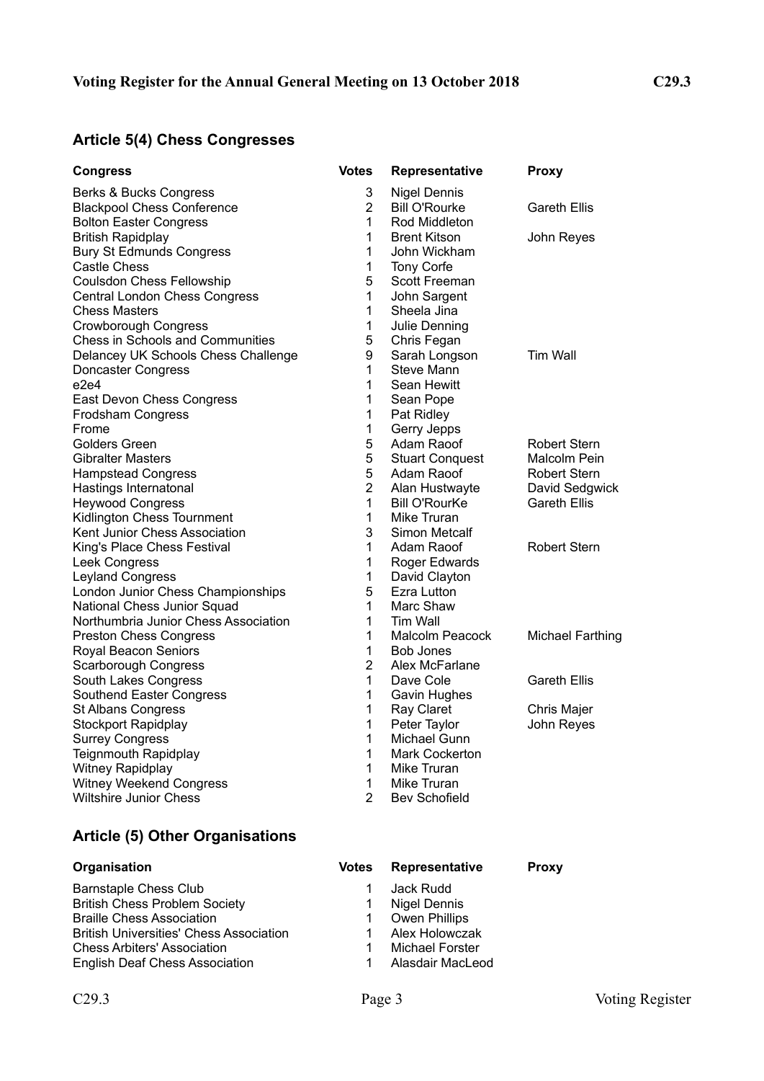# **Article 5(4) Chess Congresses**

| <b>Congress</b>                         | Votes          | Representative         | <b>Proxy</b>            |
|-----------------------------------------|----------------|------------------------|-------------------------|
| Berks & Bucks Congress                  | 3              | Nigel Dennis           |                         |
| <b>Blackpool Chess Conference</b>       | $\overline{2}$ | <b>Bill O'Rourke</b>   | Gareth Ellis            |
| <b>Bolton Easter Congress</b>           | 1              | Rod Middleton          |                         |
| <b>British Rapidplay</b>                | 1              | <b>Brent Kitson</b>    | John Reyes              |
| <b>Bury St Edmunds Congress</b>         | 1              | John Wickham           |                         |
| <b>Castle Chess</b>                     | 1              | Tony Corfe             |                         |
| <b>Coulsdon Chess Fellowship</b>        | 5              | Scott Freeman          |                         |
| <b>Central London Chess Congress</b>    | 1              | John Sargent           |                         |
| <b>Chess Masters</b>                    | 1              | Sheela Jina            |                         |
| <b>Crowborough Congress</b>             | $\mathbf{1}$   | Julie Denning          |                         |
| <b>Chess in Schools and Communities</b> | 5              | Chris Fegan            |                         |
| Delancey UK Schools Chess Challenge     | 9              | Sarah Longson          | Tim Wall                |
| Doncaster Congress                      | 1              | <b>Steve Mann</b>      |                         |
| e2e4                                    | 1              | Sean Hewitt            |                         |
| East Devon Chess Congress               | 1              | Sean Pope              |                         |
| Frodsham Congress                       | 1              | Pat Ridley             |                         |
| Frome                                   | $\mathbf{1}$   | Gerry Jepps            |                         |
| Golders Green                           | 5              | Adam Raoof             | <b>Robert Stern</b>     |
| <b>Gibralter Masters</b>                | 5              | <b>Stuart Conquest</b> | Malcolm Pein            |
| <b>Hampstead Congress</b>               | 5              | Adam Raoof             | <b>Robert Stern</b>     |
| Hastings Internatonal                   | $\overline{2}$ | Alan Hustwayte         | David Sedgwick          |
| <b>Heywood Congress</b>                 | 1              | <b>Bill O'RourKe</b>   | <b>Gareth Ellis</b>     |
| Kidlington Chess Tournment              | 1              | Mike Truran            |                         |
| Kent Junior Chess Association           | 3              | Simon Metcalf          |                         |
| King's Place Chess Festival             | 1              | Adam Raoof             | <b>Robert Stern</b>     |
| Leek Congress                           | 1              | Roger Edwards          |                         |
| <b>Leyland Congress</b>                 | 1              | David Clayton          |                         |
| London Junior Chess Championships       | 5              | Ezra Lutton            |                         |
| National Chess Junior Squad             | 1              | Marc Shaw              |                         |
| Northumbria Junior Chess Association    | 1              | Tim Wall               |                         |
| <b>Preston Chess Congress</b>           | 1              | Malcolm Peacock        | <b>Michael Farthing</b> |
| Royal Beacon Seniors                    | 1              | Bob Jones              |                         |
| <b>Scarborough Congress</b>             | $\overline{2}$ | Alex McFarlane         |                         |
| South Lakes Congress                    | 1              | Dave Cole              | <b>Gareth Ellis</b>     |
| Southend Easter Congress                | $\mathbf{1}$   | Gavin Hughes           |                         |
| St Albans Congress                      | 1              | Ray Claret             | Chris Majer             |
| Stockport Rapidplay                     | 1              | Peter Taylor           | John Reyes              |
| <b>Surrey Congress</b>                  | 1              | Michael Gunn           |                         |
| <b>Teignmouth Rapidplay</b>             | 1              | <b>Mark Cockerton</b>  |                         |
| Witney Rapidplay                        | 1              | Mike Truran            |                         |
| <b>Witney Weekend Congress</b>          | 1              | Mike Truran            |                         |
| <b>Wiltshire Junior Chess</b>           | $\overline{2}$ | <b>Bev Schofield</b>   |                         |

### **Article (5) Other Organisations**

| <b>Barnstaple Chess Club</b>                   |
|------------------------------------------------|
| <b>British Chess Problem Society</b>           |
| <b>Braille Chess Association</b>               |
| <b>British Universities' Chess Association</b> |
| <b>Chess Arbiters' Association</b>             |
| <b>English Deaf Chess Association</b>          |

### **Organisation Votes Representative Proxy** 1 Jack Rudd 1 Nigel Dennis<br>1 Owen Phillips Owen Phillips 1 Alex Holowczak 1 Michael Forster

1 Alasdair MacLeod